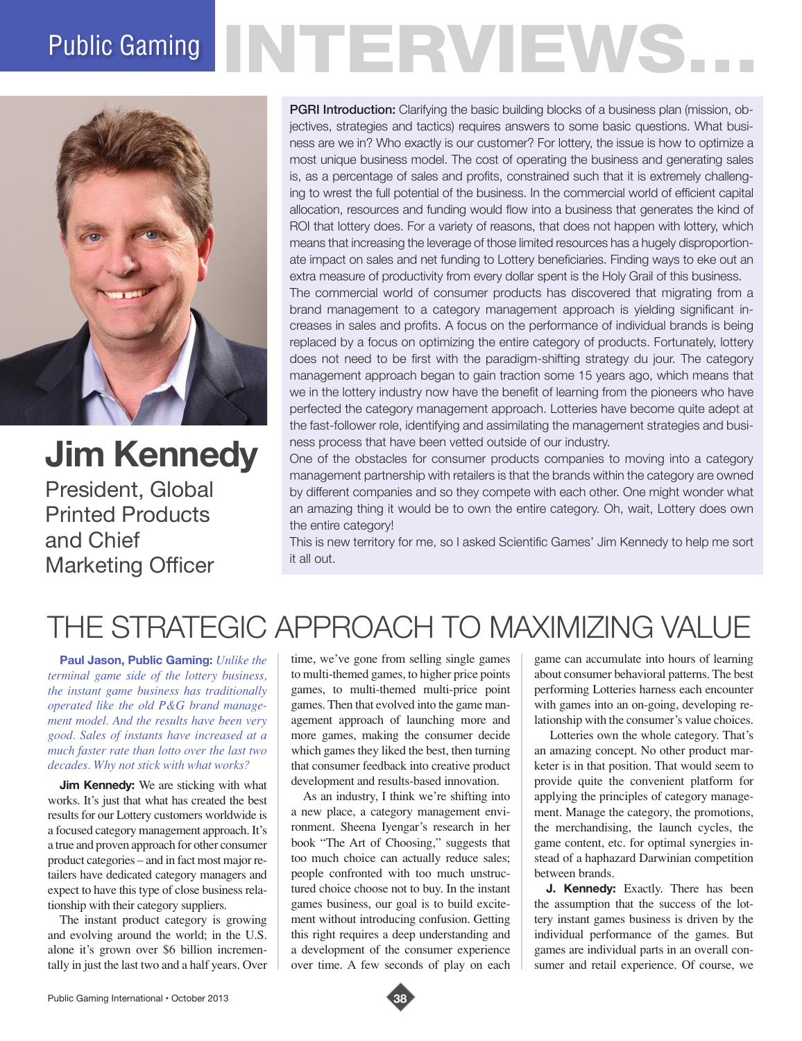## Public Gaming NTERVIEWS.



**Jim Kennedy**

President, Global Printed Products and Chief Marketing Officer

**PGRI Introduction:** Clarifying the basic building blocks of a business plan (mission, objectives, strategies and tactics) requires answers to some basic questions. What business are we in? Who exactly is our customer? For lottery, the issue is how to optimize a most unique business model. The cost of operating the business and generating sales is, as a percentage of sales and profits, constrained such that it is extremely challenging to wrest the full potential of the business. In the commercial world of efficient capital allocation, resources and funding would flow into a business that generates the kind of ROI that lottery does. For a variety of reasons, that does not happen with lottery, which means that increasing the leverage of those limited resources has a hugely disproportionate impact on sales and net funding to Lottery beneficiaries. Finding ways to eke out an extra measure of productivity from every dollar spent is the Holy Grail of this business.

The commercial world of consumer products has discovered that migrating from a brand management to a category management approach is yielding significant increases in sales and profits. A focus on the performance of individual brands is being replaced by a focus on optimizing the entire category of products. Fortunately, lottery does not need to be first with the paradigm-shifting strategy du jour. The category management approach began to gain traction some 15 years ago, which means that we in the lottery industry now have the benefit of learning from the pioneers who have perfected the category management approach. Lotteries have become quite adept at the fast-follower role, identifying and assimilating the management strategies and business process that have been vetted outside of our industry.

One of the obstacles for consumer products companies to moving into a category management partnership with retailers is that the brands within the category are owned by different companies and so they compete with each other. One might wonder what an amazing thing it would be to own the entire category. Oh, wait, Lottery does own the entire category!

This is new territory for me, so I asked Scientific Games' Jim Kennedy to help me sort it all out.

## THE STRATEGIC APPROACH TO MAXIMIZING VALUE

**Paul Jason, Public Gaming:** *Unlike the terminal game side of the lottery business, the instant game business has traditionally operated like the old P&G brand management model. And the results have been very good. Sales of instants have increased at a much faster rate than lotto over the last two decades. Why not stick with what works?* 

**Jim Kennedy:** We are sticking with what works. It's just that what has created the best results for our Lottery customers worldwide is a focused category management approach. It's a true and proven approach for other consumer product categories – and in fact most major retailers have dedicated category managers and expect to have this type of close business relationship with their category suppliers.

The instant product category is growing and evolving around the world; in the U.S. alone it's grown over \$6 billion incrementally in just the last two and a half years. Over time, we've gone from selling single games to multi-themed games, to higher price points games, to multi-themed multi-price point games. Then that evolved into the game management approach of launching more and more games, making the consumer decide which games they liked the best, then turning that consumer feedback into creative product development and results-based innovation.

As an industry, I think we're shifting into a new place, a category management environment. Sheena Iyengar's research in her book "The Art of Choosing," suggests that too much choice can actually reduce sales; people confronted with too much unstructured choice choose not to buy. In the instant games business, our goal is to build excitement without introducing confusion. Getting this right requires a deep understanding and a development of the consumer experience over time. A few seconds of play on each

game can accumulate into hours of learning about consumer behavioral patterns. The best performing Lotteries harness each encounter with games into an on-going, developing relationship with the consumer's value choices.

 Lotteries own the whole category. That's an amazing concept. No other product marketer is in that position. That would seem to provide quite the convenient platform for applying the principles of category management. Manage the category, the promotions, the merchandising, the launch cycles, the game content, etc. for optimal synergies instead of a haphazard Darwinian competition between brands.

**J. Kennedy:** Exactly. There has been the assumption that the success of the lottery instant games business is driven by the individual performance of the games. But games are individual parts in an overall consumer and retail experience. Of course, we

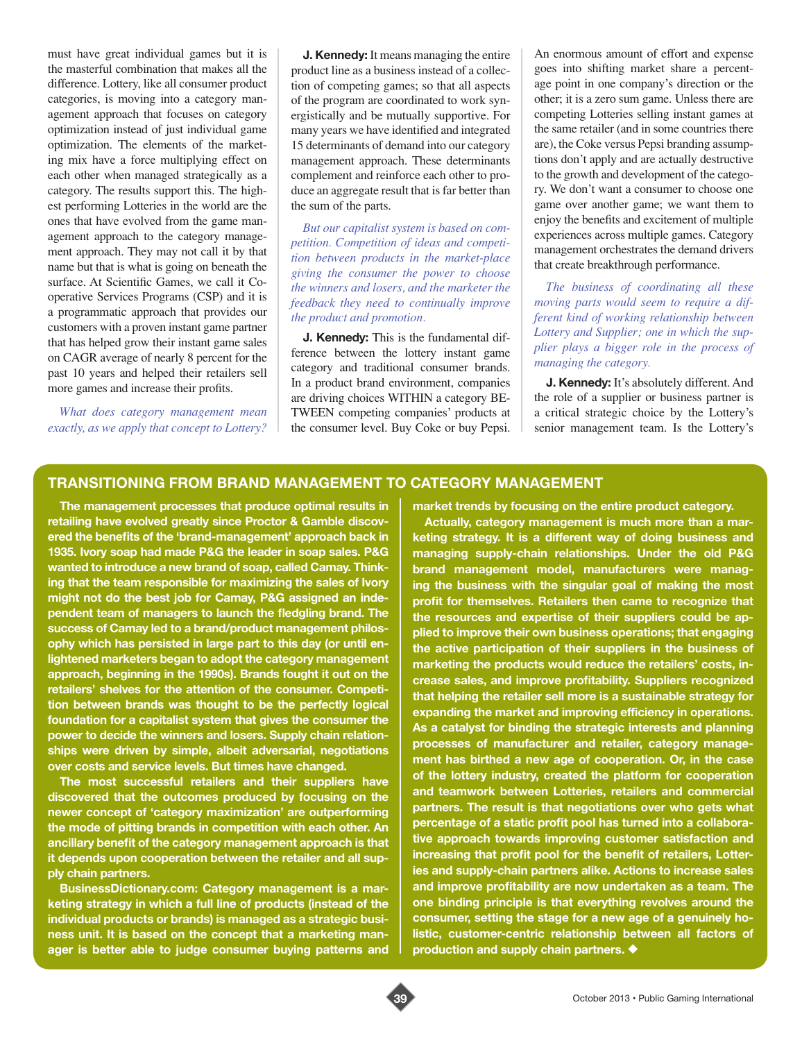must have great individual games but it is the masterful combination that makes all the difference. Lottery, like all consumer product categories, is moving into a category management approach that focuses on category optimization instead of just individual game optimization. The elements of the marketing mix have a force multiplying effect on each other when managed strategically as a category. The results support this. The highest performing Lotteries in the world are the ones that have evolved from the game management approach to the category management approach. They may not call it by that name but that is what is going on beneath the surface. At Scientific Games, we call it Cooperative Services Programs (CSP) and it is a programmatic approach that provides our customers with a proven instant game partner that has helped grow their instant game sales on CAGR average of nearly 8 percent for the past 10 years and helped their retailers sell more games and increase their profits.

*What does category management mean exactly, as we apply that concept to Lottery?* 

**J. Kennedy:** It means managing the entire product line as a business instead of a collection of competing games; so that all aspects of the program are coordinated to work synergistically and be mutually supportive. For many years we have identified and integrated 15 determinants of demand into our category management approach. These determinants complement and reinforce each other to produce an aggregate result that is far better than the sum of the parts.

*But our capitalist system is based on competition. Competition of ideas and competition between products in the market-place giving the consumer the power to choose the winners and losers, and the marketer the feedback they need to continually improve the product and promotion.* 

**J. Kennedy:** This is the fundamental difference between the lottery instant game category and traditional consumer brands. In a product brand environment, companies are driving choices WITHIN a category BE-TWEEN competing companies' products at the consumer level. Buy Coke or buy Pepsi. An enormous amount of effort and expense goes into shifting market share a percentage point in one company's direction or the other; it is a zero sum game. Unless there are competing Lotteries selling instant games at the same retailer (and in some countries there are), the Coke versus Pepsi branding assumptions don't apply and are actually destructive to the growth and development of the category. We don't want a consumer to choose one game over another game; we want them to enjoy the benefits and excitement of multiple experiences across multiple games. Category management orchestrates the demand drivers that create breakthrough performance.

*The business of coordinating all these moving parts would seem to require a different kind of working relationship between Lottery and Supplier; one in which the supplier plays a bigger role in the process of managing the category.*

**J. Kennedy:** It's absolutely different. And the role of a supplier or business partner is a critical strategic choice by the Lottery's senior management team. Is the Lottery's

## **TRANSITIONING FROM BRAND MANAGEMENT TO CATEGORY MANAGEMENT**

**The management processes that produce optimal results in retailing have evolved greatly since Proctor & Gamble discovered the benefits of the 'brand-management' approach back in 1935. Ivory soap had made P&G the leader in soap sales. P&G wanted to introduce a new brand of soap, called Camay. Thinking that the team responsible for maximizing the sales of Ivory might not do the best job for Camay, P&G assigned an independent team of managers to launch the fledgling brand. The success of Camay led to a brand/product management philosophy which has persisted in large part to this day (or until enlightened marketers began to adopt the category management approach, beginning in the 1990s). Brands fought it out on the retailers' shelves for the attention of the consumer. Competition between brands was thought to be the perfectly logical foundation for a capitalist system that gives the consumer the power to decide the winners and losers. Supply chain relationships were driven by simple, albeit adversarial, negotiations over costs and service levels. But times have changed.** 

**The most successful retailers and their suppliers have discovered that the outcomes produced by focusing on the newer concept of 'category maximization' are outperforming the mode of pitting brands in competition with each other. An ancillary benefit of the category management approach is that it depends upon cooperation between the retailer and all supply chain partners.** 

**BusinessDictionary.com: Category management is a marketing strategy in which a full line of products (instead of the individual products or brands) is managed as a strategic business unit. It is based on the concept that a marketing manager is better able to judge consumer buying patterns and**  **market trends by focusing on the entire product category.** 

**Actually, category management is much more than a marketing strategy. It is a different way of doing business and managing supply-chain relationships. Under the old P&G brand management model, manufacturers were managing the business with the singular goal of making the most profit for themselves. Retailers then came to recognize that the resources and expertise of their suppliers could be applied to improve their own business operations; that engaging the active participation of their suppliers in the business of marketing the products would reduce the retailers' costs, increase sales, and improve profitability. Suppliers recognized that helping the retailer sell more is a sustainable strategy for expanding the market and improving efficiency in operations. As a catalyst for binding the strategic interests and planning processes of manufacturer and retailer, category management has birthed a new age of cooperation. Or, in the case of the lottery industry, created the platform for cooperation and teamwork between Lotteries, retailers and commercial partners. The result is that negotiations over who gets what percentage of a static profit pool has turned into a collaborative approach towards improving customer satisfaction and increasing that profit pool for the benefit of retailers, Lotteries and supply-chain partners alike. Actions to increase sales and improve profitability are now undertaken as a team. The one binding principle is that everything revolves around the consumer, setting the stage for a new age of a genuinely holistic, customer-centric relationship between all factors of production and supply chain partners.**